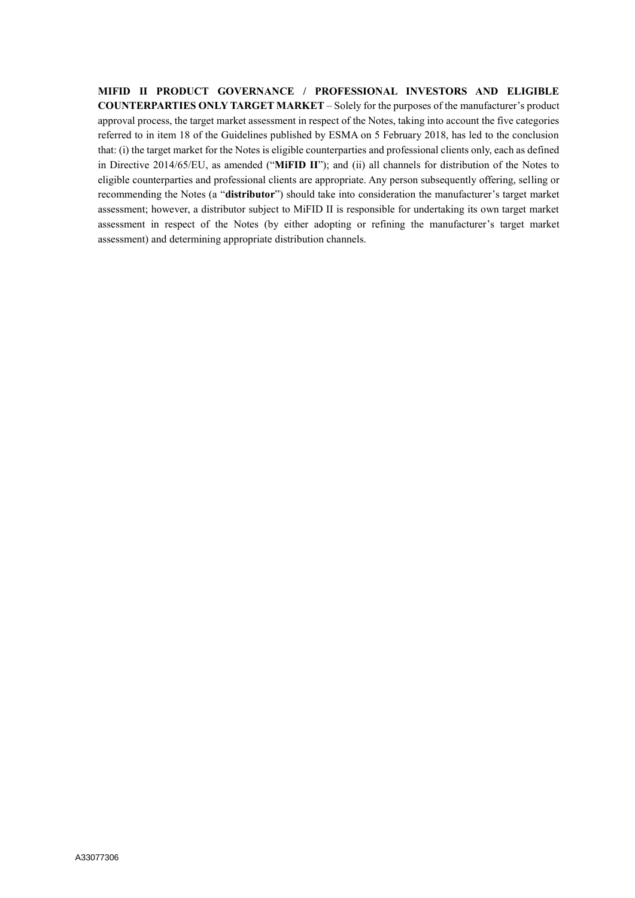**MIFID II PRODUCT GOVERNANCE / PROFESSIONAL INVESTORS AND ELIGIBLE COUNTERPARTIES ONLY TARGET MARKET** – Solely for the purposes of the manufacturer's product approval process, the target market assessment in respect of the Notes, taking into account the five categories referred to in item 18 of the Guidelines published by ESMA on 5 February 2018, has led to the conclusion that: (i) the target market for the Notes is eligible counterparties and professional clients only, each as defined in Directive 2014/65/EU, as amended ("**MiFID II**"); and (ii) all channels for distribution of the Notes to eligible counterparties and professional clients are appropriate. Any person subsequently offering, selling or recommending the Notes (a "**distributor**") should take into consideration the manufacturer's target market assessment; however, a distributor subject to MiFID II is responsible for undertaking its own target market assessment in respect of the Notes (by either adopting or refining the manufacturer's target market assessment) and determining appropriate distribution channels.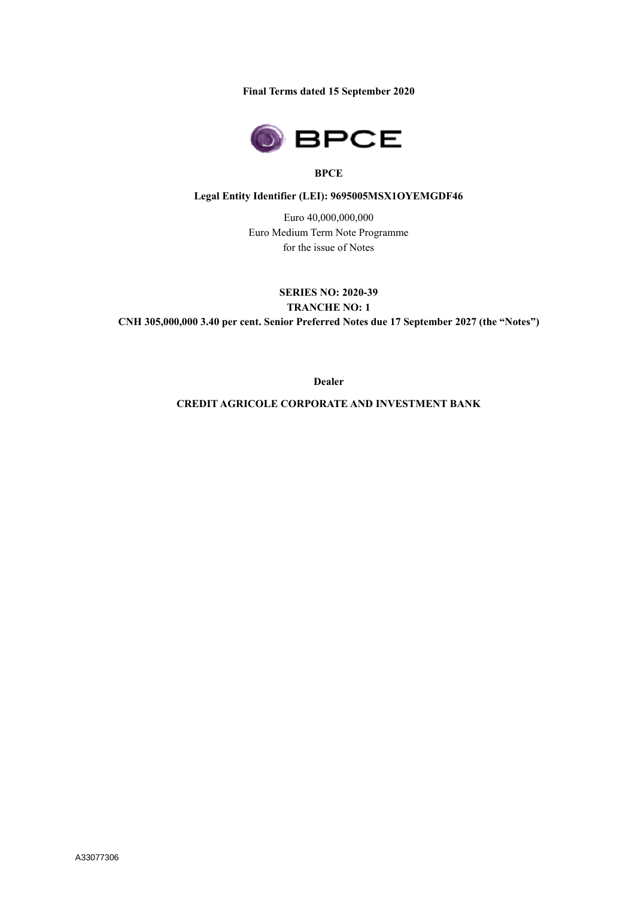**Final Terms dated 15 September 2020**



## **BPCE**

## **Legal Entity Identifier (LEI): 9695005MSX1OYEMGDF46**

Euro 40,000,000,000 Euro Medium Term Note Programme for the issue of Notes

**SERIES NO: 2020-39 TRANCHE NO: 1 CNH 305,000,000 3.40 per cent. Senior Preferred Notes due 17 September 2027 (the "Notes")**

**Dealer**

**CREDIT AGRICOLE CORPORATE AND INVESTMENT BANK**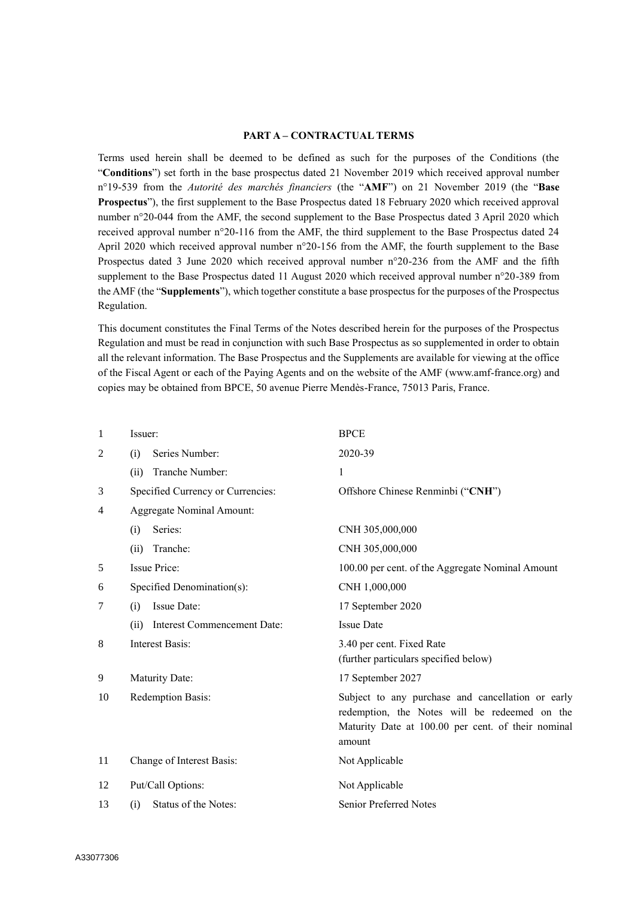### **PART A – CONTRACTUAL TERMS**

Terms used herein shall be deemed to be defined as such for the purposes of the Conditions (the "**Conditions**") set forth in the base prospectus dated 21 November 2019 which received approval number n°19-539 from the *Autorité des marchés financiers* (the "**AMF**") on 21 November 2019 (the "**Base Prospectus**"), the first supplement to the Base Prospectus dated 18 February 2020 which received approval number n°20-044 from the AMF, the second supplement to the Base Prospectus dated 3 April 2020 which received approval number n°20-116 from the AMF, the third supplement to the Base Prospectus dated 24 April 2020 which received approval number n°20-156 from the AMF, the fourth supplement to the Base Prospectus dated 3 June 2020 which received approval number n°20-236 from the AMF and the fifth supplement to the Base Prospectus dated 11 August 2020 which received approval number n°20-389 from the AMF (the "**Supplements**"), which together constitute a base prospectus for the purposes of the Prospectus Regulation.

This document constitutes the Final Terms of the Notes described herein for the purposes of the Prospectus Regulation and must be read in conjunction with such Base Prospectus as so supplemented in order to obtain all the relevant information. The Base Prospectus and the Supplements are available for viewing at the office of the Fiscal Agent or each of the Paying Agents and on the website of the AMF (www.amf-france.org) and copies may be obtained from BPCE, 50 avenue Pierre Mendès-France, 75013 Paris, France.

| $\mathbf{1}$ | Issuer:                                    | <b>BPCE</b>                                                                                                                                                        |
|--------------|--------------------------------------------|--------------------------------------------------------------------------------------------------------------------------------------------------------------------|
| 2            | Series Number:<br>(i)                      | 2020-39                                                                                                                                                            |
|              | Tranche Number:<br>(ii)                    | 1                                                                                                                                                                  |
| 3            | Specified Currency or Currencies:          | Offshore Chinese Renminbi ("CNH")                                                                                                                                  |
| 4            | <b>Aggregate Nominal Amount:</b>           |                                                                                                                                                                    |
|              | Series:<br>(i)                             | CNH 305,000,000                                                                                                                                                    |
|              | Tranche:<br>(ii)                           | CNH 305,000,000                                                                                                                                                    |
| 5            | <b>Issue Price:</b>                        | 100.00 per cent. of the Aggregate Nominal Amount                                                                                                                   |
| 6            | Specified Denomination(s):                 | CNH 1,000,000                                                                                                                                                      |
| 7            | Issue Date:<br>(i)                         | 17 September 2020                                                                                                                                                  |
|              | <b>Interest Commencement Date:</b><br>(ii) | <b>Issue Date</b>                                                                                                                                                  |
| 8            | <b>Interest Basis:</b>                     | 3.40 per cent. Fixed Rate<br>(further particulars specified below)                                                                                                 |
| 9            | Maturity Date:                             | 17 September 2027                                                                                                                                                  |
| 10           | Redemption Basis:                          | Subject to any purchase and cancellation or early<br>redemption, the Notes will be redeemed on the<br>Maturity Date at 100.00 per cent. of their nominal<br>amount |
| 11           | Change of Interest Basis:                  | Not Applicable                                                                                                                                                     |
| 12           | Put/Call Options:                          | Not Applicable                                                                                                                                                     |
| 13           | Status of the Notes:<br>(i)                | <b>Senior Preferred Notes</b>                                                                                                                                      |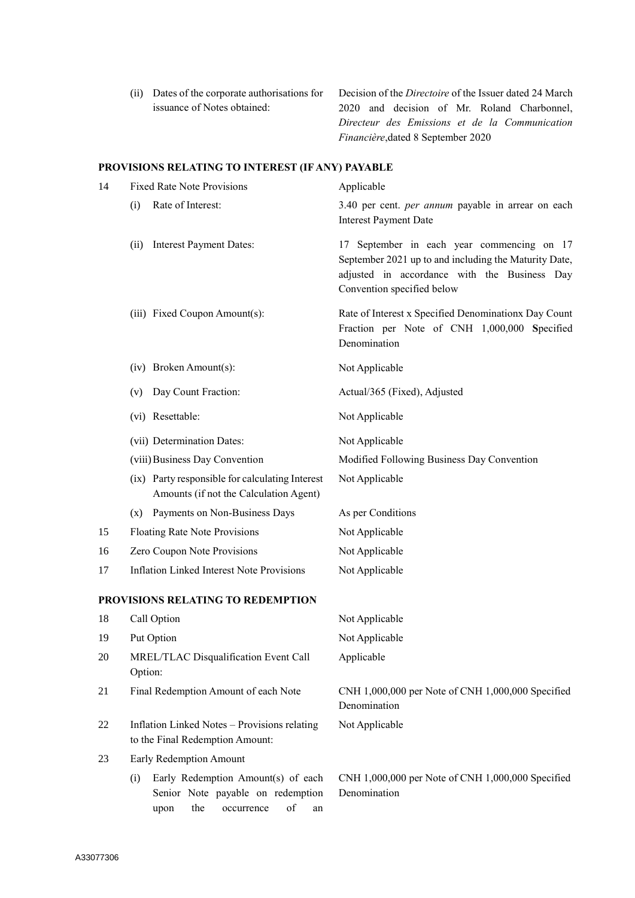(ii) Dates of the corporate authorisations for issuance of Notes obtained:

Decision of the *Directoire* of the Issuer dated 24 March 2020 and decision of Mr. Roland Charbonnel, *Directeur des Emissions et de la Communication Financière*,dated 8 September 2020

## **PROVISIONS RELATING TO INTEREST (IF ANY) PAYABLE**

| 14 | <b>Fixed Rate Note Provisions</b>                                                                                       | Applicable                                                                                                                                                                        |
|----|-------------------------------------------------------------------------------------------------------------------------|-----------------------------------------------------------------------------------------------------------------------------------------------------------------------------------|
|    | Rate of Interest:<br>(i)                                                                                                | 3.40 per cent. per annum payable in arrear on each<br><b>Interest Payment Date</b>                                                                                                |
|    | <b>Interest Payment Dates:</b><br>(ii)                                                                                  | 17 September in each year commencing on 17<br>September 2021 up to and including the Maturity Date,<br>adjusted in accordance with the Business Day<br>Convention specified below |
|    | (iii) Fixed Coupon Amount(s):                                                                                           | Rate of Interest x Specified Denominationx Day Count<br>Fraction per Note of CNH 1,000,000 Specified<br>Denomination                                                              |
|    | (iv) Broken Amount(s):                                                                                                  | Not Applicable                                                                                                                                                                    |
|    | Day Count Fraction:<br>(v)                                                                                              | Actual/365 (Fixed), Adjusted                                                                                                                                                      |
|    | (vi) Resettable:                                                                                                        | Not Applicable                                                                                                                                                                    |
|    | (vii) Determination Dates:                                                                                              | Not Applicable                                                                                                                                                                    |
|    | (viii) Business Day Convention                                                                                          | Modified Following Business Day Convention                                                                                                                                        |
|    | (ix) Party responsible for calculating Interest<br>Amounts (if not the Calculation Agent)                               | Not Applicable                                                                                                                                                                    |
|    | (x) Payments on Non-Business Days                                                                                       | As per Conditions                                                                                                                                                                 |
| 15 | Floating Rate Note Provisions                                                                                           | Not Applicable                                                                                                                                                                    |
| 16 | Zero Coupon Note Provisions                                                                                             | Not Applicable                                                                                                                                                                    |
| 17 | <b>Inflation Linked Interest Note Provisions</b>                                                                        | Not Applicable                                                                                                                                                                    |
|    | PROVISIONS RELATING TO REDEMPTION                                                                                       |                                                                                                                                                                                   |
| 18 | Call Option                                                                                                             | Not Applicable                                                                                                                                                                    |
| 19 | Put Option                                                                                                              | Not Applicable                                                                                                                                                                    |
| 20 | MREL/TLAC Disqualification Event Call<br>Option:                                                                        | Applicable                                                                                                                                                                        |
| 21 | Final Redemption Amount of each Note                                                                                    | CNH 1,000,000 per Note of CNH 1,000,000 Specified<br>Denomination                                                                                                                 |
| 22 | Inflation Linked Notes - Provisions relating<br>to the Final Redemption Amount:                                         | Not Applicable                                                                                                                                                                    |
| 23 | Early Redemption Amount                                                                                                 |                                                                                                                                                                                   |
|    | Early Redemption Amount(s) of each<br>(i)<br>Senior Note payable on redemption<br>the<br>of<br>occurrence<br>upon<br>an | CNH 1,000,000 per Note of CNH 1,000,000 Specified<br>Denomination                                                                                                                 |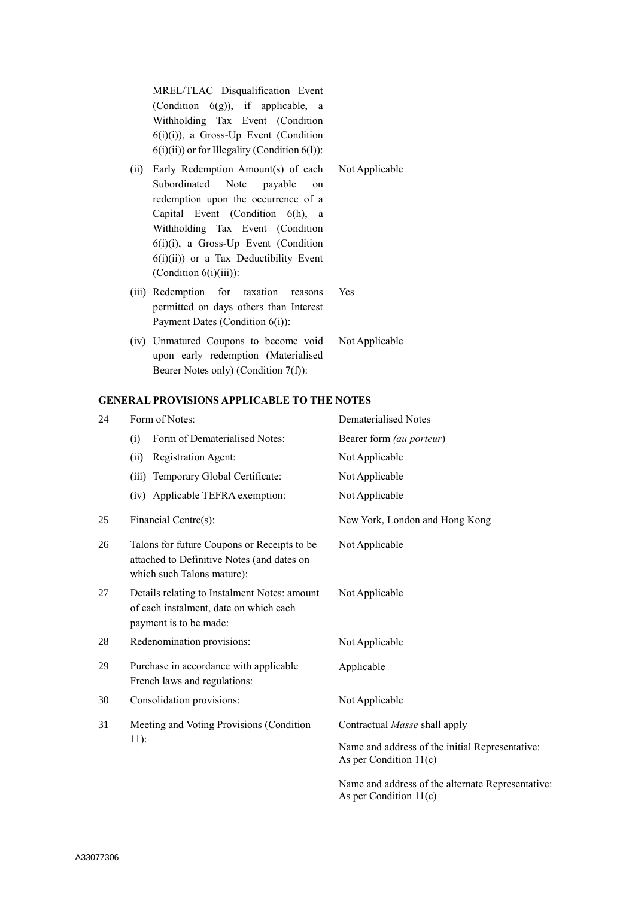MREL/TLAC Disqualification Event (Condition 6(g)), if applicable, a Withholding Tax Event (Condition 6(i)(i)), a Gross-Up Event (Condition  $6(i)(ii)$  or for Illegality (Condition  $6(l)$ ):

- (ii) Early Redemption Amount(s) of each Subordinated Note payable on redemption upon the occurrence of a Capital Event (Condition 6(h), a Withholding Tax Event (Condition 6(i)(i), a Gross-Up Event (Condition 6(i)(ii)) or a Tax Deductibility Event (Condition 6(i)(iii)): Not Applicable
- (iii) Redemption for taxation reasons permitted on days others than Interest Payment Dates (Condition 6(i)): Yes
- (iv) Unmatured Coupons to become void upon early redemption (Materialised Bearer Notes only) (Condition 7(f)): Not Applicable

#### **GENERAL PROVISIONS APPLICABLE TO THE NOTES**

| 24 | Form of Notes:                                                                                                          | Dematerialised Notes                                                          |
|----|-------------------------------------------------------------------------------------------------------------------------|-------------------------------------------------------------------------------|
|    | Form of Dematerialised Notes:<br>(i)                                                                                    | Bearer form (au porteur)                                                      |
|    | <b>Registration Agent:</b><br>(ii)                                                                                      | Not Applicable                                                                |
|    | Temporary Global Certificate:<br>(iii)                                                                                  | Not Applicable                                                                |
|    | (iv) Applicable TEFRA exemption:                                                                                        | Not Applicable                                                                |
| 25 | Financial Centre(s):                                                                                                    | New York, London and Hong Kong                                                |
| 26 | Talons for future Coupons or Receipts to be<br>attached to Definitive Notes (and dates on<br>which such Talons mature): | Not Applicable                                                                |
| 27 | Details relating to Instalment Notes: amount<br>of each instalment, date on which each<br>payment is to be made:        | Not Applicable                                                                |
| 28 | Redenomination provisions:                                                                                              | Not Applicable                                                                |
| 29 | Purchase in accordance with applicable<br>French laws and regulations:                                                  | Applicable                                                                    |
| 30 | Consolidation provisions:                                                                                               | Not Applicable                                                                |
| 31 | Meeting and Voting Provisions (Condition<br>$11)$ :                                                                     | Contractual Masse shall apply                                                 |
|    |                                                                                                                         | Name and address of the initial Representative:<br>As per Condition $11(c)$   |
|    |                                                                                                                         | Name and address of the alternate Representative:<br>As per Condition $11(c)$ |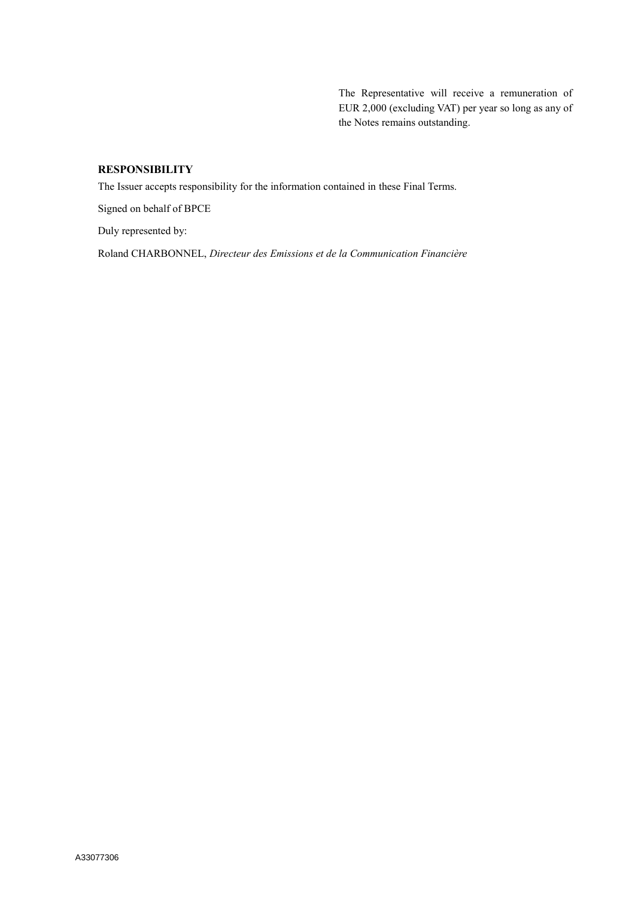The Representative will receive a remuneration of EUR 2,000 (excluding VAT) per year so long as any of the Notes remains outstanding.

# **RESPONSIBILITY**

The Issuer accepts responsibility for the information contained in these Final Terms.

Signed on behalf of BPCE

Duly represented by:

Roland CHARBONNEL, *Directeur des Emissions et de la Communication Financière*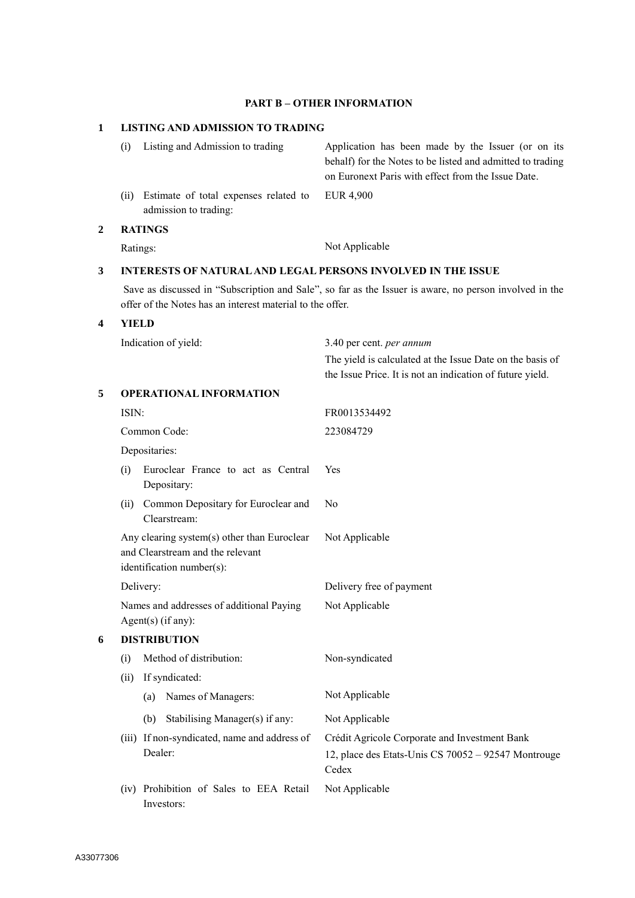## **PART B – OTHER INFORMATION**

## **1 LISTING AND ADMISSION TO TRADING**

| 3 | INTERESTS OF NATURAL AND LEGAL PERSONS INVOLVED IN THE ISSUE |                                                                |                                                                                                                                                                        |
|---|--------------------------------------------------------------|----------------------------------------------------------------|------------------------------------------------------------------------------------------------------------------------------------------------------------------------|
|   | Ratings:                                                     |                                                                | Not Applicable                                                                                                                                                         |
| 2 | <b>RATINGS</b>                                               |                                                                |                                                                                                                                                                        |
|   | (i)                                                          | Estimate of total expenses related to<br>admission to trading: | EUR 4,900                                                                                                                                                              |
|   | (i)                                                          | Listing and Admission to trading                               | Application has been made by the Issuer (or on its<br>behalf) for the Notes to be listed and admitted to trading<br>on Euronext Paris with effect from the Issue Date. |

Save as discussed in "Subscription and Sale", so far as the Issuer is aware, no person involved in the offer of the Notes has an interest material to the offer.

## **4 YIELD**

|   | Indication of yield:                                                                                         | 3.40 per cent. per annum                                                                                               |  |
|---|--------------------------------------------------------------------------------------------------------------|------------------------------------------------------------------------------------------------------------------------|--|
|   |                                                                                                              | The yield is calculated at the Issue Date on the basis of<br>the Issue Price. It is not an indication of future yield. |  |
| 5 | <b>OPERATIONAL INFORMATION</b>                                                                               |                                                                                                                        |  |
|   | ISIN:                                                                                                        | FR0013534492                                                                                                           |  |
|   | Common Code:                                                                                                 | 223084729                                                                                                              |  |
|   | Depositaries:                                                                                                |                                                                                                                        |  |
|   | Euroclear France to act as Central<br>(i)<br>Depositary:                                                     | Yes                                                                                                                    |  |
|   | Common Depositary for Euroclear and<br>(ii)<br>Clearstream:                                                  | No                                                                                                                     |  |
|   | Any clearing system(s) other than Euroclear<br>and Clearstream and the relevant<br>identification number(s): | Not Applicable                                                                                                         |  |
|   | Delivery:                                                                                                    | Delivery free of payment                                                                                               |  |
|   | Names and addresses of additional Paying<br>Agent $(s)$ (if any):                                            | Not Applicable                                                                                                         |  |
| 6 | <b>DISTRIBUTION</b>                                                                                          |                                                                                                                        |  |
|   | Method of distribution:<br>(i)<br>If syndicated:<br>(ii)                                                     | Non-syndicated                                                                                                         |  |
|   | Names of Managers:<br>(a)                                                                                    | Not Applicable                                                                                                         |  |
|   | Stabilising Manager(s) if any:<br>(b)                                                                        | Not Applicable                                                                                                         |  |
|   | (iii) If non-syndicated, name and address of<br>Dealer:                                                      | Crédit Agricole Corporate and Investment Bank<br>12, place des Etats-Unis CS 70052 - 92547 Montrouge<br>Cedex          |  |
|   | (iv) Prohibition of Sales to EEA Retail<br>Investors:                                                        | Not Applicable                                                                                                         |  |